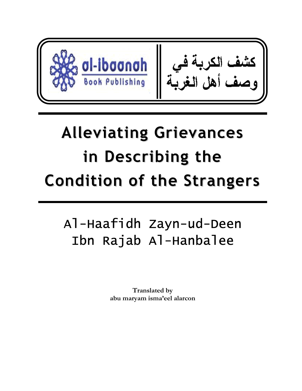

# **Alleviating Grievances in Describing the Condition of the Strangers**

# Al-Haafidh Zayn-ud-Deen Ibn Rajab Al-Hanbalee

**Translated by abu maryam isma'eel alarcon**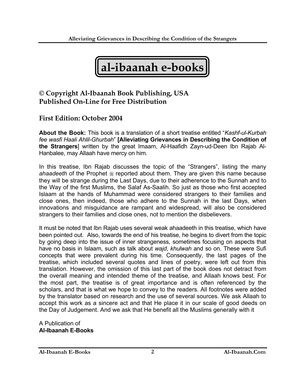**al-ibaanah e-books** 

### **© Copyright Al-Ibaanah Book Publishing, USA Published On-Line for Free Distribution**

#### **First Edition: October 2004**

**About the Book:** This book is a translation of a short treatise entitled "*Kashf-ul-Kurbah fee wasfi Haali Ahlil-Ghurbah*" **[Alleviating Grievances in Describing the Condition of the Strangers**] written by the great Imaam, Al-Haafidh Zayn-ud-Deen Ibn Rajab Al-Hanbalee, may Allaah have mercy on him.

In this treatise, Ibn Rajab discusses the topic of the "Strangers", listing the many ahaadeeth of the Prophet  $\frac{1}{20}$  reported about them. They are given this name because they will be strange during the Last Days, due to their adherence to the Sunnah and to the Way of the first Muslims, the Salaf As-Saalih. So just as those who first accepted Islaam at the hands of Muhammad were considered strangers to their families and close ones, then indeed, those who adhere to the Sunnah in the last Days, when innovations and misguidance are rampant and widespread, will also be considered strangers to their families and close ones, not to mention the disbelievers.

It must be noted that Ibn Rajab uses several weak ahaadeeth in this treatise, which have been pointed out. Also, towards the end of his treatise, he begins to divert from the topic by going deep into the issue of inner strangeness, sometimes focusing on aspects that have no basis in Islaam, such as talk about *wajd*, *khulwah* and so on. These were Sufi concepts that were prevalent during his time. Consequently, the last pages of the treatise, which included several quotes and lines of poetry, were left out from this translation. However, the omission of this last part of the book does not detract from the overall meaning and intended theme of the treatise, and Allaah knows best. For the most part, the treatise is of great importance and is often referenced by the scholars, and that is what we hope to convey to the readers. All footnotes were added by the translator based on research and the use of several sources. We ask Allaah to accept this work as a sincere act and that He place it in our scale of good deeds on the Day of Judgement. And we ask that He benefit all the Muslims generally with it

A Publication of **Al-Ibaanah E-Books**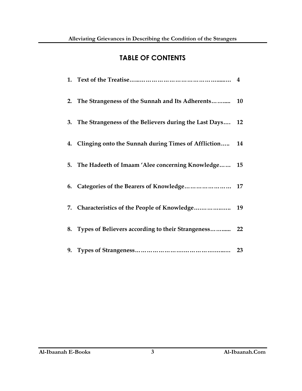## **TABLE OF CONTENTS**

| 2. The Strangeness of the Sunnah and Its Adherents 10       |    |
|-------------------------------------------------------------|----|
| 3. The Strangeness of the Believers during the Last Days 12 |    |
| 4. Clinging onto the Sunnah during Times of Affliction 14   |    |
| 5. The Hadeeth of Imaam 'Alee concerning Knowledge          | 15 |
| 6. Categories of the Bearers of Knowledge 17                |    |
|                                                             |    |
| 8. Types of Believers according to their Strangeness 22     |    |
|                                                             |    |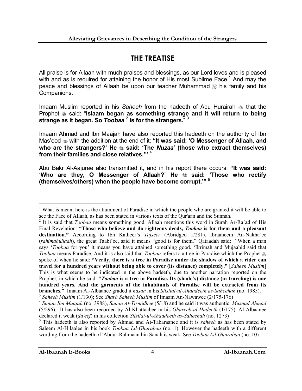# **THE TREATISE**

All praise is for Allaah with much praises and blessings, as our Lord loves and is pleased with and as is required for attaining the honor of His most Sublime Face.<sup>1</sup> And may the peace and blessings of Allaah be upon our teacher Muhammad  $\frac{1}{26}$  his family and his Companions.

Imaam Muslim reported in his *Saheeh* from the hadeeth of Abu Hurairah that the Prophet  $*$  said: "**Islaam began as something strange and it will return to being strange as it began. So** *Toobaa* <sup>2</sup> **is for the strangers.**" 3

Imaam Ahmad and Ibn Maajah have also reported this hadeeth on the authority of Ibn Mas'ood  $\triangleq$  with the addition at the end of it: "It was said: 'O Messenger of Allaah, and who are the strangers?' He  $\equiv$  said: 'The *Nuzaa'* (those who extract themselves) **from their families and close relatives.'"** <sup>4</sup>

Abu Bakr Al-Aajuree also transmitted it, and in his report there occurs: **"It was said:**  'Who are they, O Messenger of Allaah?' He  $*$  said: 'Those who rectify **(themselves/others) when the people have become corrupt.'"** <sup>5</sup>

 $\overline{a}$ <sup>1</sup> What is meant here is the attainment of Paradise in which the people who are granted it will be able to see the Face of Allaah, as has been stated in various texts of the Qur'aan and the Sunnah.

<sup>2</sup> It is said that *Toobaa* means something good. Allaah mentions this word in Surah Ar-Ra'ad of His Final Revelation: **"Those who believe and do righteous deeds,** *Toobaa* **is for them and a pleasant destination."** According to Ibn Katheer's *Tafseer* (Abridged 1/281), Ibraaheem An-Nakha'ee (*rahimahullaah*), the great Taabi'ee, said it means "good is for them." Qataadah said: "When a man says '*Toobaa* for you' it means you have attained something good. 'Ikrimah and Mujaahid said that *Toobaa* means Paradise. And it is also said that *Toobaa* refers to a tree in Paradise which the Prophet spoke of when he said: **"Verily, there is a tree in Paradise under the shadow of which a rider can travel for a hundred years without being able to cover (its distance) completely."** [*Saheeh Muslim*] This is what seems to be indicated in the above hadeeth, due to another narration reported on the Prophet, in which he said: **"***Toobaa* **is a tree in Paradise. Its (shade's) distance (in traveling) is one hundred years. And the garments of the inhabitants of Paradise will be extracted from its branches."** Imaam Al-Albaanee graded it *hasan* in his *Silsilat-ul-Ahaadeeth as-Saheehah* (no. 1985). <sup>3</sup> *Saheeh Muslim* (1/130); See *Sharh Saheeh Muslim* of Imaam An-Nawawee (2/175-176)

<sup>4</sup> *Sunan Ibn Maajah* (no. 3988), *Sunan At-Tirmidhee* (5/18) and he said it was authentic, *Musnad Ahmad* 

<sup>(5/296).</sup> It has also been recorded by Al-Khattaabee in his *Ghareeb-ul-Hadeeth* (1/175). Al-Albaanee declared it weak (*da'eef*) in his collection *Silsilat-ul-Ahaadeeth as-Saheehah* (no. 1273)

<sup>5</sup> This hadeeth is also reported by Ahmad and At-Tabaraanee and it is *saheeh* as has been stated by Saleem Al-Hilaalee in his book *Toobaa Lil-Ghurabaa* (no. 1). However the hadeeth with a different wording from the hadeeth of 'Abdur-Rahmaan bin Sanah is weak. See *Toobaa Lil-Ghurabaa* (no. 10)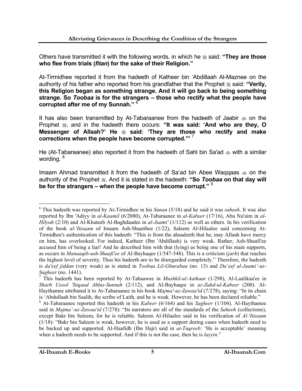Others have transmitted it with the following words, in which he  $\frac{1}{26}$  said: "They are those **who flee from trials (***fitan***) for the sake of their Religion."**

At-Tirmidhee reported it from the hadeeth of Katheer bin 'Abdillaah Al-Maznee on the authority of his father who reported from his grandfather that the Prophet  $\ast$  said: "Verily, **this Religion began as something strange. And it will go back to being something strange. So** *Toobaa* **is for the strangers – those who rectify what the people have corrupted after me of my Sunnah."** <sup>6</sup>

It has also been transmitted by At-Tabaraanee from the hadeeth of Jaabir  $\gg$  on the Prophet  $\ddot{\textbf{x}}$ , and in the hadeeth there occurs: "It was said: 'And who are they, O **Messenger of Allaah?' He said: 'They are those who rectify and make corrections when the people have become corrupted.'"** <sup>7</sup>

He (At-Tabaraanee) also reported it from the hadeeth of Sahl bin Sa'ad  $\ast$  with a similar wording. <sup>8</sup>

Imaam Ahmad transmitted it from the hadeeth of Sa'ad bin Abee Waqqaas  $\gg$  on the authority of the Prophet . And it is stated in the hadeeth: "So *Toobaa* on that day will **be for the strangers – when the people have become corrupt."** <sup>9</sup>

<sup>6</sup> This hadeeth was reported by At-Tirmidhee in his *Sunan* (5/18) and he said it was *saheeh*. It was also reported by Ibn 'Adiyy in *al-Kaamil* (6/2080), At-Tabaraanee in *al-Kabeer* (17/16), Abu Nu'aim in *al-Hilyah* (2/10) and Al-Khateeb Al-Baghdaadee in *al-Jaami'* (1/112) as well as others. In his verification of the book *al-'Itisaam* of Imaam Ash-Shaatibee (1/22), Saleem Al-Hilaalee said concerning At-Tirmidhee's authentication of this hadeeth: "This is from the ahaadeeth that he, may Allaah have mercy on him, has overlooked. For indeed, Katheer (Ibn 'Abdillaah) is very weak. Rather, Ash-Shaafi'ee accused him of being a liar! And he described him with that (lying) as being one of his main supports, as occurs in *Manaaqib-ush-Shaafi'ee* of Al-Bayhaqee (1/547-548). This is a criticism (*jarh*) that reaches the highest level of severity. Thus his hadeeth are to be disregarded completely." Therefore, the hadeeth is *da'eef jiddan* (very weak) as is stated in *Toobaa Lil-Ghurabaa* (no. 13) and *Da'eef al-Jaami'-us-Sagheer* (no. 1441).

<sup>7</sup> This hadeeth has been reported by At-Tahaawee in *Mushkil-ul-Aathaar* (1/298), Al-Laalikaa'ee in *Sharh Usool 'Itiqaad Ahlus-Sunnah* (2/112), and Al-Bayhaqee in *az-Zuhd-ul-Kabeer* (200). Al-Haythamee attributed it to At-Tabaraanee in his book *Majma'-uz-Zawaa'id* (7/278), saying: "In its chain is 'Abdullaah bin Saalih, the scribe of Laith, and he is weak. However, he has been declared reliable."

<sup>8</sup> At-Tabaraanee reported this hadeeth in his *Kabeer* (6/164) and his *Sagheer* (1/104). Al-Haythamee said in *Majma'-uz-Zawaa'id* (7/278): "Its narrators are all of the standards of the *Saheeh* (collections), except Bakr bin Saleem, for he is reliable. Saleem Al-Hilaalee said in his verification of *Al-'Itisaam*  (1/18): "Bakr bin Saleem is weak, however, he is used as a support during cases when hadeeth need to be backed up and supported. Al-Haafidh (Ibn Hajr) said in *at-Taqreeb*: 'He is acceptable' meaning when a hadeeth needs to be supported. And if this is not the case, then he is *layyin*."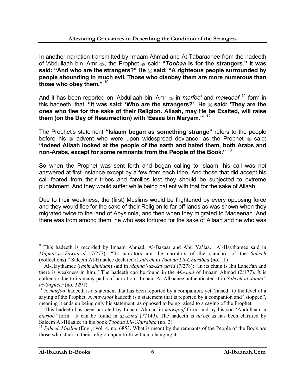In another narration transmitted by Imaam Ahmad and At-Tabaraanee from the hadeeth of 'Abdullaah bin 'Amr  $\clubsuit$ , the Prophet  $\divideontimes$  said: "*Toobaa* is for the strangers." It was **said: "And who are the strangers?" He said: "A righteous people surrounded by people abounding in much evil. Those who disobey them are more numerous than those who obey them."** <sup>10</sup>

And it has been reported on 'Abdullaah bin 'Amr  $\triangleq$  in *marfoo'* and *mawqoof*<sup>11</sup> form in this hadeeth, that: "It was said: 'Who are the strangers?' He  $*$  said: 'They are the **ones who flee for the sake of their Religion. Allaah, may He be Exalted, will raise them (on the Day of Resurrection) with 'Eesaa bin Maryam.'"** <sup>12</sup>

The Prophet's statement **"Islaam began as something strange"** refers to the people before his  $*$  advent who were upon widespread deviance, as the Prophet  $*$  said: **"Indeed Allaah looked at the people of the earth and hated them, both Arabs and non-Arabs, except for some remnants from the People of the Book."** <sup>13</sup>

So when the Prophet was sent forth and began calling to Islaam, his call was not answered at first instance except by a few from each tribe. And those that did accept his call feared from their tribes and families lest they should be subjected to extreme punishment. And they would suffer while being patient with that for the sake of Allaah.

Due to their weakness, the (first) Muslims would be frightened by every opposing force and they would flee for the sake of their Religion to far-off lands as was shown when they migrated twice to the land of Abysinnia, and then when they migrated to Madeenah. And there was from among them, he who was tortured for the sake of Allaah and he who was

<sup>&</sup>lt;sup>-</sup> <sup>9</sup> This hadeeth is recorded by Imaam Ahmad, Al-Bazaar and Abu Ya'laa. Al-Haythamee said in *Majma'-uz-Zawaa'id* (7/277): "Its narrators are the narrators of the standard of the *Saheeh* (collections)." Saleem Al-Hilaalee declared it *saheeh* in *Toobaa Lil-Ghurabaa* (no. 11)

<sup>10</sup> Al-Haythamee (*rahimahullaah*) said in *Majma'-uz-Zawaa'id* (7/278): "In its chain is Ibn Lahee'ah and there is weakness in him." The hadeeth can be found in the *Musnad* of Imaam Ahmad (2/177). It is authentic due to its many paths of narration. Imaam Al-Albaanee authenticated it in *Saheeh al-Jaami' us-Sagheer* (no. 3291)

<sup>&</sup>lt;sup>11</sup> A *marfoo*' hadeeth is a statement that has been reported by a companion, yet "raised" to the level of a saying of the Prophet. A *mawqoof* hadeeth is a statement that is reported by a companion and "stopped", meaning it ends up being only his statement, as opposed to being raised to a saying of the Prophet.

<sup>&</sup>lt;sup>12</sup> This hadeeth has been narrated by Imaam Ahmad in *mawqoof* form, and by his son 'Abdullaah in *marfoo'* form. It can be found in *az-Zuhd* (77149). The hadeeth is *da'eef* as has been clarified by Saleem Al-Hilaalee in his book *Toobaa Lil-Ghurabaa* (no. 3)

<sup>&</sup>lt;sup>13</sup> Saheeh Muslim (Eng.): vol. 4, no. 6853. What is meant by the remnants of the People of the Book are those who stuck to their religion upon truth without changing it.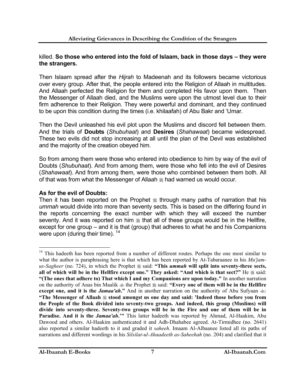#### killed. **So those who entered into the fold of Islaam, back in those days – they were the strangers.**

Then Islaam spread after the *Hijrah* to Madeenah and its followers became victorious over every group. After that, the people entered into the Religion of Allaah in multitudes. And Allaah perfected the Religion for them and completed His favor upon them. Then the Messenger of Allaah died, and the Muslims were upon the utmost level due to their firm adherence to their Religion. They were powerful and dominant, and they continued to be upon this condition during the times (i.e. khilaafah) of Abu Bakr and 'Umar.

Then the Devil unleashed his evil plot upon the Muslims and discord fell between them. And the trials of **Doubts** (*Shubuhaat*) and **Desires** (*Shahawaat*) became widespread. These two evils did not stop increasing at all until the plan of the Devil was established and the majority of the creation obeyed him.

So from among them were those who entered into obedience to him by way of the evil of Doubts (*Shubuhaat*). And from among them, were those who fell into the evil of Desires (*Shahawaat*). And from among them, were those who combined between them both. All of that was from what the Messenger of Allaah  $\frac{1}{26}$  had warned us would occur.

#### **As for the evil of Doubts:**

Then it has been reported on the Prophet  $\frac{1}{20}$  through many paths of narration that his *ummah* would divide into more than seventy sects. This is based on the differing found in the reports concerning the exact number with which they will exceed the number seventy. And it was reported on him  $*$  that all of these groups would be in the Hellfire, except for one group – and it is that (group) that adheres to what he and his Companions were upon (during their time). <sup>14</sup>

 $\overline{a}$ <sup>14</sup> This hadeeth has been reported from a number of different routes. Perhaps the one most similar to what the author is paraphrasing here is that which has been reported by At-Tabaraanee in his *Mu'jamus-Sagheer* (no. 724), in which the Prophet  $\frac{20}{36}$  said: "This *ummah* will split into seventy-three sects, all of which will be in the Hellfire except one." They asked: "And which is that sect?" He  $\frac{1}{26}$  said: **"(The ones that adhere to) That which I and my Companions are upon today."** In another narration on the authority of Anas bin Maalik  $\triangleq$  the Prophet  $\triangleq$  said: "Every one of them will be in the Hellfire **except one, and it is the** *Jamaa'ah*." And in another narration on the authority of Abu Sufyaan  $\ddot{\infty}$ : **"The Messenger of Allaah stood amongst us one day and said: 'Indeed those before you from the People of the Book divided into seventy-two groups. And indeed, this group (Muslims) will divide into seventy-three. Seventy-two groups will be in the Fire and one of them will be in Paradise. And it is the** *Jamaa'ah***.'"** This latter hadeeth was reported by Ahmad, Al-Haakim, Abu Dawood and others. Al-Haakim authenticated it and Adh-Dhahabee agreed. At-Tirmidhee (no. 2641) also reported a similar hadeeth to it and graded it *saheeh*. Imaam Al-Albaanee listed all its paths of narrations and different wordings in his *Silsilat-ul-Ahaadeeth as-Saheehah* (no. 204) and clarified that it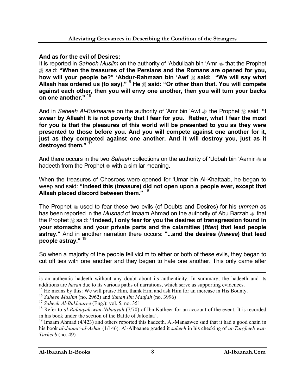#### **And as for the evil of Desires:**

It is reported in *Saheeh Muslim* on the authority of 'Abdullaah bin 'Amr  $\triangleq$  that the Prophet said: **"When the treasures of the Persians and the Romans are opened for you, how will your people be?" 'Abdur-Rahmaan bin 'Awf said: "We will say what Allaah has ordered us (to say)."**<sup>15</sup> **He said: "Or other than that. You will compete against each other, then you will envy one another, then you will turn your backs on one another."** <sup>16</sup>

And in *Saheeh Al-Bukhaaree* on the authority of 'Amr bin 'Awf  $\triangleq$  the Prophet  $\triangleq$  said: "I **swear by Allaah! It is not poverty that I fear for you. Rather, what I fear the most for you is that the pleasures of this world will be presented to you as they were presented to those before you. And you will compete against one another for it, just as they competed against one another. And it will destroy you, just as it destroyed them."** <sup>17</sup>

And there occurs in the two Saheeh collections on the authority of 'Uqbah bin 'Aamir  $\clubsuit$  a hadeeth from the Prophet  $\frac{1}{20}$  with a similar meaning.

When the treasures of Chosroes were opened for 'Umar bin Al-Khattaab, he began to weep and said: **"Indeed this (treasure) did not open upon a people ever, except that Allaah placed discord between them."** 18

The Prophet  $\frac{1}{20}$  used to fear these two evils (of Doubts and Desires) for his *ummah* as has been reported in the *Musnad* of Imaam Ahmad on the authority of Abu Barzah  $\triangleq$  that the Prophet  $\triangleq$  said: "Indeed, I only fear for you the desires of transgression found in **your stomachs and your private parts and the calamities (***fitan***) that lead people astray."** And in another narration there occurs: **"...and the desires (***hawaa***) that lead people astray."** <sup>19</sup>

So when a majority of the people fell victim to either or both of these evils, they began to cut off ties with one another and they began to hate one another. This only came after

is an authentic hadeeth without any doubt about its authenticity. In summary, the hadeeth and its additions are *hasan* due to its various paths of narrations, which serve as supporting evidences.

<sup>&</sup>lt;sup>15</sup> He means by this: We will praise Him, thank Him and ask Him for an increase in His Bounty.

<sup>16</sup> *Saheeh Muslim* (no. 2962) and *Sunan Ibn Maajah* (no. 3996)

<sup>17</sup> *Saheeh Al-Bukhaaree* (Eng.): vol. 5, no. 351

<sup>18</sup> Refer to *al-Bidaayah-wan-Nihaayah* (7/70) of Ibn Katheer for an account of the event. It is recorded in his book under the section of the Battle of Jaloolaa'.

<sup>&</sup>lt;sup>19</sup> Imaam Ahmad (4/423) and others reported this hadeeth. Al-Manaawee said that it had a good chain in his book *al-Jaami'-ul-Azhar* (1/146). Al-Albaanee graded it *saheeh* in his checking of *at-Targheeb wat-Tarheeb* (no. 49)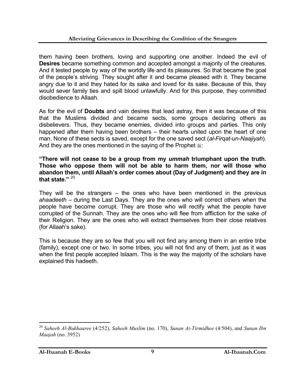them having been brothers, loving and supporting one another. Indeed the evil of **Desires** became something common and accepted amongst a majority of the creatures. And it tested people by way of the worldly life and its pleasures. So that became the goal of the people's striving. They sought after it and became pleased with it. They became angry due to it and they hated for its sake and loved for its sake. Because of this, they would sever family ties and spill blood unlawfully. And for this purpose, they committed disobedience to Allaah.

As for the evil of **Doubts** and vain desires that lead astray, then it was because of this that the Muslims divided and became sects, some groups declaring others as disbelievers. Thus, they became enemies, divided into groups and parties. This only happened after them having been brothers – their hearts united upon the heart of one man. None of these sects is saved, except for the one saved sect (*al-Firqat-un-Naajiyah*). And they are the ones mentioned in the saying of the Prophet  $\ddot{\text{m}}$ :

**"There will not cease to be a group from my** *ummah* **triumphant upon the truth. Those who oppose them will not be able to harm them, nor will those who abandon them, until Allaah's order comes about (Day of Judgment) and they are in that state."** <sup>20</sup>

They will be the strangers – the ones who have been mentioned in the previous *ahaadeeth* – during the Last Days. They are the ones who will correct others when the people have become corrupt. They are those who will rectify what the people have corrupted of the Sunnah. They are the ones who will flee from affliction for the sake of their Religion. They are the ones who will extract themselves from their close relatives (for Allaah's sake).

This is because they are so few that you will not find any among them in an entire tribe (family), except one or two. In some tribes, you will not find any of them, just as it was when the first people accepted Islaam. This is the way the majority of the scholars have explained this hadeeth.

<sup>20</sup> *Saheeh Al-Bukhaaree* (4/252), *Saheeh Muslim* (no. 170), *Sunan At-Tirmidhee* (4/504), and *Sunan Ibn Maajah* (no. 3952)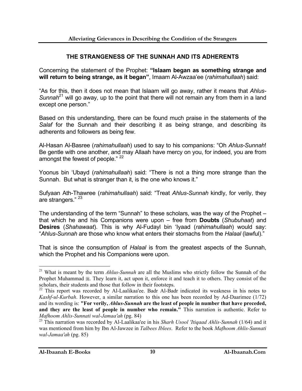#### **THE STRANGENESS OF THE SUNNAH AND ITS ADHERENTS**

Concerning the statement of the Prophet: **"Islaam began as something strange and will return to being strange, as it began"**, Imaam Al-Awzaa'ee (*rahimahullaah*) said:

"As for this, then it does not mean that Islaam will go away, rather it means that *Ahlus-Sunnah*<sup>21</sup> will go away, up to the point that there will not remain any from them in a land except one person."

Based on this understanding, there can be found much praise in the statements of the *Salaf* for the Sunnah and their describing it as being strange, and describing its adherents and followers as being few.

Al-Hasan Al-Basree (*rahimahullaah*) used to say to his companions: "Oh *Ahlus-Sunnah*! Be gentle with one another, and may Allaah have mercy on you, for indeed, you are from amongst the fewest of people." <sup>22</sup>

Yoonus bin 'Ubayd (*rahimahullaah*) said: "There is not a thing more strange than the Sunnah. But what is stranger than it, is the one who knows it."

Sufyaan Ath-Thawree (*rahimahullaah*) said: "Treat *Ahlus-Sunnah* kindly, for verily, they are strangers."<sup>23</sup>

The understanding of the term "Sunnah" to these scholars, was the way of the Prophet – that which he and his Companions were upon – free from **Doubts** (*Shubuhaat*) and **Desires** (*Shahawaat*). This is why Al-Fudayl bin 'Iyaad (*rahimahullaah*) would say: "*Ahlus-Sunnah* are those who know what enters their stomachs from the *Halaal* (lawful)."

That is since the consumption of *Halaal* is from the greatest aspects of the Sunnah, which the Prophet and his Companions were upon.

<sup>21</sup> What is meant by the term *Ahlus-Sunnah* are all the Muslims who strictly follow the Sunnah of the Prophet Muhammad . They learn it, act upon it, enforce it and teach it to others. They consist of the scholars, their students and those that follow in their footsteps.

<sup>&</sup>lt;sup>22</sup> This report was recorded by Al-Laalikaa'ee. Badr Al-Badr indicated its weakness in his notes to *Kashf-ul-Kurbah*. However, a similar narration to this one has been recorded by Ad-Daarimee (1/72) and its wording is: **"For verily,** *Ahlus-Sunnah* **are the least of people in number that have preceded, and they are the least of people in number who remain."** This narration is authentic. Refer to *Mafhoom Ahlis-Sunnati wal-Jamaa'ah* (pg. 84)

<sup>23</sup> This narration was recorded by Al-Laalikaa'ee in his *Sharh Usool 'Itiqaad Ahlis-Sunnah* (1/64) and it was mentioned from him by Ibn Al-Jawzee in *Talbees Iblees*. Refer to the book *Mafhoom Ahlis-Sunnati wal-Jamaa'ah* (pg. 85)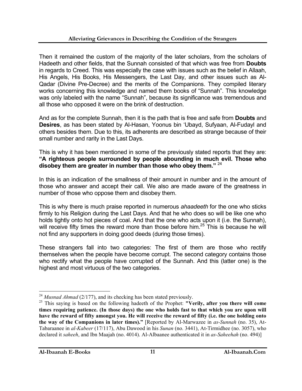Then it remained the custom of the majority of the later scholars, from the scholars of Hadeeth and other fields, that the Sunnah consisted of that which was free from **Doubts** in regards to Creed. This was especially the case with issues such as the belief in Allaah, His Angels, His Books, His Messengers, the Last Day, and other issues such as Al-Qadar (Divine Pre-Decree) and the merits of the Companions. They compiled literary works concerning this knowledge and named them books of "Sunnah". This knowledge was only labeled with the name "Sunnah", because its significance was tremendous and all those who opposed it were on the brink of destruction.

And as for the complete Sunnah, then it is the path that is free and safe from **Doubts** and **Desires**, as has been stated by Al-Hasan, Yoonus bin 'Ubayd, Sufyaan, Al-Fudayl and others besides them. Due to this, its adherents are described as strange because of their small number and rarity in the Last Days.

This is why it has been mentioned in some of the previously stated reports that they are: **"A righteous people surrounded by people abounding in much evil. Those who disobey them are greater in number than those who obey them."** <sup>24</sup>

In this is an indication of the smallness of their amount in number and in the amount of those who answer and accept their call. We also are made aware of the greatness in number of those who oppose them and disobey them.

This is why there is much praise reported in numerous *ahaadeeth* for the one who sticks firmly to his Religion during the Last Days. And that he who does so will be like one who holds tightly onto hot pieces of coal. And that the one who acts upon it (i.e. the Sunnah), will receive fifty times the reward more than those before him.<sup>25</sup> This is because he will not find any supporters in doing good deeds (during those times).

These strangers fall into two categories: The first of them are those who rectify themselves when the people have become corrupt. The second category contains those who rectify what the people have corrupted of the Sunnah. And this (latter one) is the highest and most virtuous of the two categories.

 $\overline{a}$ <sup>24</sup> *Musnad Ahmad* (2/177), and its checking has been stated previously.

<sup>25</sup> This saying is based on the following hadeeth of the Prophet: **"Verily, after you there will come times requiring patience. (In those days) the one who holds fast to that which you are upon will have the reward of fifty amongst you. He will receive the reward of fifty (i.e. the one holding onto the way of the Companions in later times)."** [Reported by Al-Marwazee in *as-Sunnah* (no. 35), At-Tabaraanee in *al-Kabeer* (17/117), Abu Dawood in his *Sunan* (no. 3441), At-Tirmidhee (no. 3057), who declared it *saheeh*, and Ibn Maajah (no. 4014). Al-Albaanee authenticated it in *as-Saheehah* (no. 494)]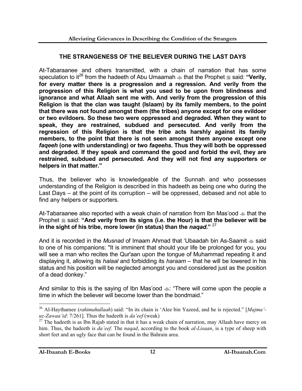#### **THE STRANGENESS OF THE BELIEVER DURING THE LAST DAYS**

At-Tabaraanee and others transmitted, with a chain of narration that has some speculation to it<sup>26</sup> from the hadeeth of Abu Umaamah  $\triangleq$  that the Prophet  $\triangleq$  said: "Verily, **for every matter there is a progression and a regression. And verily from the progression of this Religion is what you used to be upon from blindness and ignorance and what Allaah sent me with. And verily from the progression of this Religion is that the clan was taught (Islaam) by its family members, to the point that there was not found amongst them (the tribes) anyone except for one evildoer or two evildoers. So these two were oppressed and degraded. When they want to speak, they are restrained, subdued and persecuted. And verily from the regression of this Religion is that the tribe acts harshly against its family members, to the point that there is not seen amongst them anyone except one**  *faqeeh* **(one with understanding) or two** *faqeehs***. Thus they will both be oppressed and degraded. If they speak and command the good and forbid the evil, they are restrained, subdued and persecuted. And they will not find any supporters or helpers in that matter."**

Thus, the believer who is knowledgeable of the Sunnah and who possesses understanding of the Religion is described in this hadeeth as being one who during the Last Days – at the point of its corruption – will be oppressed, debased and not able to find any helpers or supporters.

At-Tabaraanee also reported with a weak chain of narration from Ibn Mas'ood  $\triangleq$  that the Prophet  $*$  said: "And verily from its signs (i.e. the Hour) is that the believer will be **in the sight of his tribe, more lower (in status) than the** *naqad***."** <sup>27</sup>

And it is recorded in the *Musnad* of Imaam Ahmad that 'Ubaadah bin As-Saamit  $\approx$  said to one of his companions: "It is imminent that should your life be prolonged for you, you will see a man who recites the Qur'aan upon the tongue of Muhammad repeating it and displaying it, allowing its *halaal* and forbidding its *haraam* – that he will be lowered in his status and his position will be neglected amongst you and considered just as the position of a dead donkey."

And similar to this is the saying of Ibn Mas'ood  $\ddot{\phi}$ : "There will come upon the people a time in which the believer will become lower than the bondmaid."

 $\overline{a}$ 26 Al-Haythamee (*rahimahullaah*) said: "In its chain is 'Alee bin Yazeed, and he is rejected." [*Majma' uz-Zawaa'id*: 7/261]. Thus the hadeeth is *da'eef* (weak)

 $27$  The hadeeth is as Ibn Rajab stated in that it has a weak chain of narration, may Allaah have mercy on him. Thus, the hadeeth is *da'eef*. The *naqad*, according to the book *al-Lisaan*, is a type of sheep with short feet and an ugly face that can be found in the Bahrain area.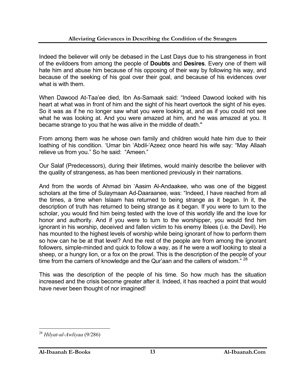Indeed the believer will only be debased in the Last Days due to his strangeness in front of the evildoers from among the people of **Doubts** and **Desires**. Every one of them will hate him and abuse him because of his opposing of their way by following his way, and because of the seeking of his goal over their goal, and because of his evidences over what is with them.

When Dawood At-Taa'ee died, Ibn As-Samaak said: "Indeed Dawood looked with his heart at what was in front of him and the sight of his heart overtook the sight of his eyes. So it was as if he no longer saw what you were looking at, and as if you could not see what he was looking at. And you were amazed at him, and he was amazed at you. It became strange to you that he was alive in the middle of death."

From among them was he whose own family and children would hate him due to their loathing of his condition. 'Umar bin 'Abdil-'Azeez once heard his wife say: "May Allaah relieve us from you." So he said: "Ameen."

Our Salaf (Predecessors), during their lifetimes, would mainly describe the believer with the quality of strangeness, as has been mentioned previously in their narrations.

And from the words of Ahmad bin 'Aasim Al-Andaakee, who was one of the biggest scholars at the time of Sulaymaan Ad-Daaraanee, was: "Indeed, I have reached from all the times, a time when Islaam has returned to being strange as it began. In it, the description of truth has returned to being strange as it began. If you were to turn to the scholar, you would find him being tested with the love of this worldly life and the love for honor and authority. And if you were to turn to the worshipper, you would find him ignorant in his worship, deceived and fallen victim to his enemy Iblees (i.e. the Devil). He has mounted to the highest levels of worship while being ignorant of how to perform them so how can he be at that level? And the rest of the people are from among the ignorant followers, simple-minded and quick to follow a way, as if he were a wolf looking to steal a sheep, or a hungry lion, or a fox on the prowl. This is the description of the people of your time from the carriers of knowledge and the Qur'aan and the callers of wisdom." <sup>28</sup>

This was the description of the people of his time. So how much has the situation increased and the crisis become greater after it. Indeed, it has reached a point that would have never been thought of nor imagined!

 $\overline{a}$ <sup>28</sup> *Hilyat-ul-Awliyaa* (9/286)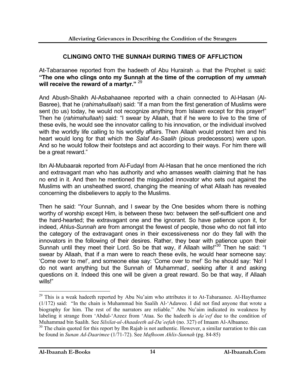#### **CLINGING ONTO THE SUNNAH DURING TIMES OF AFFLICTION**

At-Tabaraanee reported from the hadeeth of Abu Hurairah  $\triangleq$  that the Prophet  $\triangleq$  said: **"The one who clings onto my Sunnah at the time of the corruption of my** *ummah* **will receive the reward of a martyr."** <sup>29</sup>

And Abush-Shaikh Al-Asbahaanee reported with a chain connected to Al-Hasan (Al-Basree), that he (*rahimahullaah*) said: "If a man from the first generation of Muslims were sent (to us) today, he would not recognize anything from Islaam except for this prayer!" Then he (*rahimahullaah*) said: "I swear by Allaah, that if he were to live to the time of these evils, he would see the innovator calling to his innovation, or the individual involved with the worldly life calling to his worldly affairs. Then Allaah would protect him and his heart would long for that which the *Salaf As-Saalih* (pious predecessors) were upon. And so he would follow their footsteps and act according to their ways. For him there will be a great reward."

Ibn Al-Mubaarak reported from Al-Fudayl from Al-Hasan that he once mentioned the rich and extravagant man who has authority and who amasses wealth claiming that he has no end in it. And then he mentioned the misguided innovator who sets out against the Muslims with an unsheathed sword, changing the meaning of what Allaah has revealed concerning the disbelievers to apply to the Muslims.

Then he said: "Your Sunnah, and I swear by the One besides whom there is nothing worthy of worship except Him, is between these two: between the self-sufficient one and the hard-hearted; the extravagant one and the ignorant. So have patience upon it, for indeed, *Ahlus-Sunnah* are from amongst the fewest of people, those who do not fall into the category of the extravagant ones in their excessiveness nor do they fall with the innovators in the following of their desires. Rather, they bear with patience upon their Sunnah until they meet their Lord. So be that way, if Allaah wills!"<sup>30</sup> Then he said: "I swear by Allaah, that if a man were to reach these evils, he would hear someone say: 'Come over to me!', and someone else say: 'Come over to me!' So he should say: 'No! I do not want anything but the Sunnah of Muhammad', seeking after it and asking questions on it. Indeed this one will be given a great reward. So be that way, if Allaah wills!"

 $29$  This is a weak hadeeth reported by Abu Nu'aim who attributes it to At-Tabaraanee. Al-Haythamee (1/172) said: "In the chain is Muhammad bin Saalih Al-'Adawee. I did not find anyone that wrote a biography for him. The rest of the narrators are reliable." Abu Nu'aim indicated its weakness by labeling it strange from 'Abdul-'Azeez from 'Ataa. So the hadeeth is *da'eef* due to the condition of Muhammad bin Saalih. See *Silsilat-ul-Ahaadeeth ad-Da'eefah* (no. 327) of Imaam Al-Albaanee.

 $30$  The chain quoted for this report by Ibn Rajab is not authentic. However, a similar narration to this can be found in *Sunan Ad-Daarimee* (1/71-72). See *Mafhoom Ahlis-Sunnah* (pg. 84-85)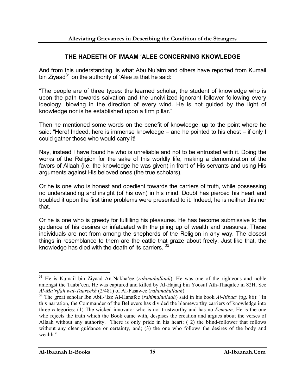#### **THE HADEETH OF IMAAM 'ALEE CONCERNING KNOWLEDGE**

And from this understanding, is what Abu Nu'aim and others have reported from Kumail bin Ziyaad<sup>31</sup> on the authority of 'Alee  $\triangleq$  that he said:

"The people are of three types: the learned scholar, the student of knowledge who is upon the path towards salvation and the uncivilized ignorant follower following every ideology, blowing in the direction of every wind. He is not guided by the light of knowledge nor is he established upon a firm pillar."

Then he mentioned some words on the benefit of knowledge, up to the point where he said: "Here! Indeed, here is immense knowledge – and he pointed to his chest – if only I could gather those who would carry it!

Nay, instead I have found he who is unreliable and not to be entrusted with it. Doing the works of the Religion for the sake of this worldly life, making a demonstration of the favors of Allaah (i.e. the knowledge he was given) in front of His servants and using His arguments against His beloved ones (the true scholars).

Or he is one who is honest and obedient towards the carriers of truth, while possessing no understanding and insight (of his own) in his mind. Doubt has pierced his heart and troubled it upon the first time problems were presented to it. Indeed, he is neither this nor that.

Or he is one who is greedy for fulfilling his pleasures. He has become submissive to the guidance of his desires or infatuated with the piling up of wealth and treasures. These individuals are not from among the shepherds of the Religion in any way. The closest things in resemblance to them are the cattle that graze about freely. Just like that, the knowledge has died with the death of its carriers.  $32$ 

<sup>31</sup> He is Kumail bin Ziyaad An-Nakha'ee (*rahimahullaah*). He was one of the righteous and noble amongst the Taabi'een. He was captured and killed by Al-Hajaaj bin Yoosuf Ath-Thaqafee in 82H. See *Al-Ma'rifah wat-Taareekh* (2/481) of Al-Fasawee (*rahimahullaah*).

<sup>32</sup> The great scholar Ibn Abil-'Izz Al-Hanafee (*rahimahullaah*) said in his book *Al-Itibaa'* (pg. 86): "In this narration, the Commander of the Believers has divided the blameworthy carriers of knowledge into three categories: (1) The wicked innovator who is not trustworthy and has no *Eemaan*. He is the one who rejects the truth which the Book came with, despises the creation and argues about the verses of Allaah without any authority. There is only pride in his heart; ( 2) the blind-follower that follows without any clear guidance or certainty, and; (3) the one who follows the desires of the body and wealth."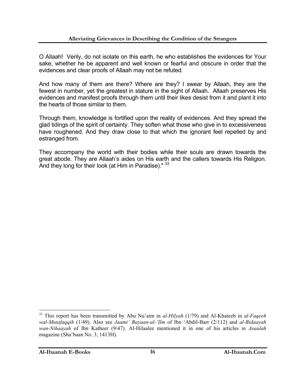O Allaah! Verily, do not isolate on this earth, he who establishes the evidences for Your sake, whether he be apparent and well known or fearful and obscure in order that the evidences and clear proofs of Allaah may not be refuted.

And how many of them are there? Where are they? I swear by Allaah, they are the fewest in number, yet the greatest in stature in the sight of Allaah. Allaah preserves His evidences and manifest proofs through them until their likes desist from it and plant it into the hearts of those similar to them.

Through them, knowledge is fortified upon the reality of evidences. And they spread the glad tidings of the spirit of certainty. They soften what those who give in to excessiveness have roughened. And they draw close to that which the ignorant feel repelled by and estranged from.

They accompany the world with their bodies while their souls are drawn towards the great abode. They are Allaah's aides on His earth and the callers towards His Religion. And they long for their look (at Him in Paradise)." 33

<sup>33</sup> This report has been transmitted by Abu Nu'aim in *al-Hilyah* (1/79) and Al-Khateeb in *al-Faqeeh wal-Mutafaqqih* (1/49). Also see *Jaami' Bayaan-ul-'Ilm* of Ibn 'Abdil-Barr (2/112) and *al-Bidaayah wan-Nihaayah* of Ibn Katheer (9/47). Al-Hilaalee mentioned it in one of his articles in *Asaalah*  magazine (Sha'baan No. 3, 1413H).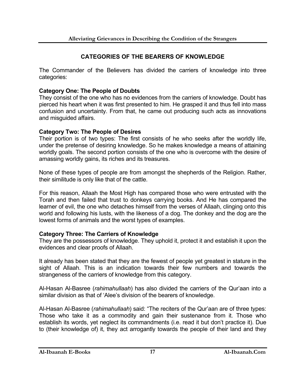#### **CATEGORIES OF THE BEARERS OF KNOWLEDGE**

The Commander of the Believers has divided the carriers of knowledge into three categories:

#### **Category One: The People of Doubts**

They consist of the one who has no evidences from the carriers of knowledge. Doubt has pierced his heart when it was first presented to him. He grasped it and thus fell into mass confusion and uncertainty. From that, he came out producing such acts as innovations and misguided affairs.

#### **Category Two: The People of Desires**

Their portion is of two types: The first consists of he who seeks after the worldly life, under the pretense of desiring knowledge. So he makes knowledge a means of attaining worldly goals. The second portion consists of the one who is overcome with the desire of amassing worldly gains, its riches and its treasures.

None of these types of people are from amongst the shepherds of the Religion. Rather, their similitude is only like that of the cattle.

For this reason, Allaah the Most High has compared those who were entrusted with the Torah and then failed that trust to donkeys carrying books. And He has compared the learner of evil, the one who detaches himself from the verses of Allaah, clinging onto this world and following his lusts, with the likeness of a dog. The donkey and the dog are the lowest forms of animals and the worst types of examples.

#### **Category Three: The Carriers of Knowledge**

They are the possessors of knowledge. They uphold it, protect it and establish it upon the evidences and clear proofs of Allaah.

It already has been stated that they are the fewest of people yet greatest in stature in the sight of Allaah. This is an indication towards their few numbers and towards the strangeness of the carriers of knowledge from this category.

Al-Hasan Al-Basree (*rahimahullaah*) has also divided the carriers of the Qur'aan into a similar division as that of 'Alee's division of the bearers of knowledge.

Al-Hasan Al-Basree (*rahimahullaah*) said: "The reciters of the Qur'aan are of three types: Those who take it as a commodity and gain their sustenance from it. Those who establish its words, yet neglect its commandments (i.e. read it but don't practice it). Due to (their knowledge of) it, they act arrogantly towards the people of their land and they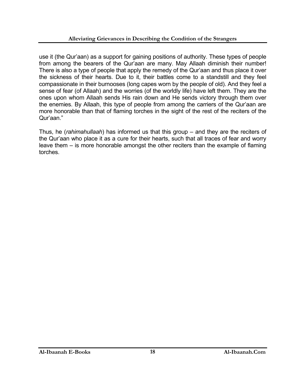use it (the Qur'aan) as a support for gaining positions of authority. These types of people from among the bearers of the Qur'aan are many. May Allaah diminish their number! There is also a type of people that apply the remedy of the Qur'aan and thus place it over the sickness of their hearts. Due to it, their battles come to a standstill and they feel compassionate in their burnooses (long capes worn by the people of old). And they feel a sense of fear (of Allaah) and the worries (of the worldly life) have left them. They are the ones upon whom Allaah sends His rain down and He sends victory through them over the enemies. By Allaah, this type of people from among the carriers of the Qur'aan are more honorable than that of flaming torches in the sight of the rest of the reciters of the Qur'aan."

Thus, he (*rahimahullaah*) has informed us that this group – and they are the reciters of the Qur'aan who place it as a cure for their hearts, such that all traces of fear and worry leave them – is more honorable amongst the other reciters than the example of flaming torches.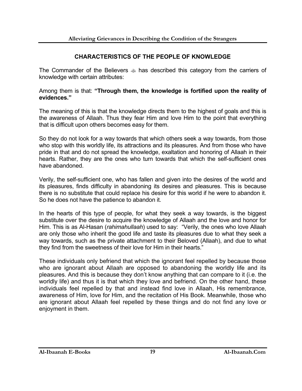#### **CHARACTERISTICS OF THE PEOPLE OF KNOWLEDGE**

The Commander of the Believers has described this category from the carriers of knowledge with certain attributes:

Among them is that: **"Through them, the knowledge is fortified upon the reality of evidences."**

The meaning of this is that the knowledge directs them to the highest of goals and this is the awareness of Allaah. Thus they fear Him and love Him to the point that everything that is difficult upon others becomes easy for them.

So they do not look for a way towards that which others seek a way towards, from those who stop with this worldly life, its attractions and its pleasures. And from those who have pride in that and do not spread the knowledge, exaltation and honoring of Allaah in their hearts. Rather, they are the ones who turn towards that which the self-sufficient ones have abandoned.

Verily, the self-sufficient one, who has fallen and given into the desires of the world and its pleasures, finds difficulty in abandoning its desires and pleasures. This is because there is no substitute that could replace his desire for this world if he were to abandon it. So he does not have the patience to abandon it.

In the hearts of this type of people, for what they seek a way towards, is the biggest substitute over the desire to acquire the knowledge of Allaah and the love and honor for Him. This is as Al-Hasan (*rahimahullaah*) used to say: "Verily, the ones who love Allaah are only those who inherit the good life and taste its pleasures due to what they seek a way towards, such as the private attachment to their Beloved (Allaah), and due to what they find from the sweetness of their love for Him in their hearts."

These individuals only befriend that which the ignorant feel repelled by because those who are ignorant about Allaah are opposed to abandoning the worldly life and its pleasures. And this is because they don't know anything that can compare to it (i.e. the worldly life) and thus it is that which they love and befriend. On the other hand, these individuals feel repelled by that and instead find love in Allaah, His remembrance, awareness of Him, love for Him, and the recitation of His Book. Meanwhile, those who are ignorant about Allaah feel repelled by these things and do not find any love or enjoyment in them.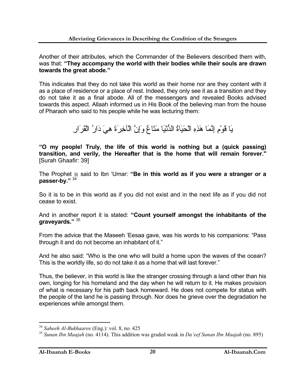Another of their attributes, which the Commander of the Believers described them with, was that: **"They accompany the world with their bodies while their souls are drawn towards the great abode."**

This indicates that they do not take this world as their home nor are they content with it as a place of residence or a place of rest. Indeed, they only see it as a transition and they do not take it as a final abode. All of the messengers and revealed Books advised towards this aspect. Allaah informed us in His Book of the believing man from the house of Pharaoh who said to his people while he was lecturing them:

يَا قَوْمِ إِنَّمَا هَذِهِ الْحَيَاةُ الدُّنْيَا مَتَاعٌ وَإِنَّ الْآخِرَةَ هِيَ دَارُ الْقَرَارِ

**"O my people! Truly, the life of this world is nothing but a (quick passing) transition, and verily, the Hereafter that is the home that will remain forever."**  [Surah Ghaafir: 39]

The Prophet  $\ast$  said to Ibn 'Umar: "Be in this world as if you were a stranger or a **passer-by."** <sup>34</sup>

So it is to be in this world as if you did not exist and in the next life as if you did not cease to exist.

And in another report it is stated: **"Count yourself amongst the inhabitants of the graveyards."** <sup>35</sup>

From the advice that the Maseeh 'Eesaa gave, was his words to his companions: "Pass through it and do not become an inhabitant of it."

And he also said: "Who is the one who will build a home upon the waves of the ocean? This is the worldly life, so do not take it as a home that will last forever."

Thus, the believer, in this world is like the stranger crossing through a land other than his own, longing for his homeland and the day when he will return to it. He makes provision of what is necessary for his path back homeward. He does not compete for status with the people of the land he is passing through. Nor does he grieve over the degradation he experiences while amongst them.

<sup>34</sup> *Saheeh Al-Bukhaaree* (Eng.): vol. 8, no. 425

<sup>35</sup> *Sunan Ibn Maajah* (no. 4114). This addition was graded weak in *Da'eef Sunan Ibn Maajah* (no. 895)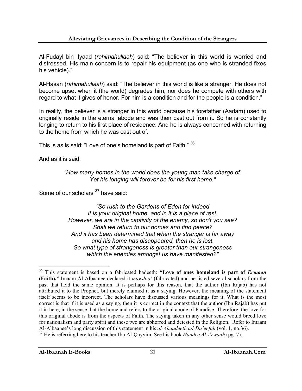Al-Fudayl bin 'Iyaad (*rahimahullaah*) said: "The believer in this world is worried and distressed. His main concern is to repair his equipment (as one who is stranded fixes his vehicle)."

Al-Hasan (*rahimahullaah*) said: "The believer in this world is like a stranger. He does not become upset when it (the world) degrades him, nor does he compete with others with regard to what it gives of honor. For him is a condition and for the people is a condition."

In reality, the believer is a stranger in this world because his forefather (Aadam) used to originally reside in the eternal abode and was then cast out from it. So he is constantly longing to return to his first place of residence. And he is always concerned with returning to the home from which he was cast out of.

This is as is said: "Love of one's homeland is part of Faith." <sup>36</sup>

And as it is said:

 $\overline{a}$ 

*"How many homes in the world does the young man take charge of. Yet his longing will forever be for his first home."*

Some of our scholars <sup>37</sup> have said:

*"So rush to the Gardens of Eden for indeed It is your original home, and in it is a place of rest. However, we are in the captivity of the enemy, so don't you see? Shall we return to our homes and find peace? And it has been determined that when the stranger is far away and his home has disappeared, then he is lost. So what type of strangeness is greater than our strangeness which the enemies amongst us have manifested?"* 

<sup>36</sup> This statement is based on a fabricated hadeeth: **"Love of ones homeland is part of** *Eemaan* **(Faith)."** Imaam Al-Albaanee declared it *mawdoo'* (fabricated) and he listed several scholars from the past that held the same opinion. It is perhaps for this reason, that the author (Ibn Rajab) has not attributed it to the Prophet, but merely claimed it as a saying. However, the meaning of the statement itself seems to be incorrect. The scholars have discussed various meanings for it. What is the most correct is that if it is used as a saying, then it is correct in the context that the author (Ibn Rajab) has put it in here, in the sense that the homeland refers to the original abode of Paradise. Therefore, the love for this original abode is from the aspects of Faith. The saying taken in any other sense would breed love for nationalism and party spirit and these two are abhorred and detested in the Religion. Refer to Imaam Al-Albaanee's long discussion of this statement in his *al-Ahaadeeth ad-Da'eefah* (vol. 1, no.36).

<sup>37</sup> He is referring here to his teacher Ibn Al-Qayyim. See his book *Haadee Al-Arwaah* (pg. 7).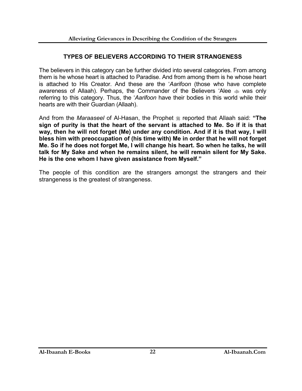#### **TYPES OF BELIEVERS ACCORDING TO THEIR STRANGENESS**

The believers in this category can be further divided into several categories. From among them is he whose heart is attached to Paradise. And from among them is he whose heart is attached to His Creator. And these are the '*Aarifoon* (those who have complete awareness of Allaah). Perhaps, the Commander of the Believers 'Alee  $\ast$  was only referring to this category. Thus, the '*Aarifoon* have their bodies in this world while their hearts are with their Guardian (Allaah).

And from the *Maraaseel* of Al-Hasan, the Prophet  $\ast$  reported that Allaah said: "The **sign of purity is that the heart of the servant is attached to Me. So if it is that way, then he will not forget (Me) under any condition. And if it is that way, I will bless him with preoccupation of (his time with) Me in order that he will not forget Me. So if he does not forget Me, I will change his heart. So when he talks, he will talk for My Sake and when he remains silent, he will remain silent for My Sake. He is the one whom I have given assistance from Myself."**

The people of this condition are the strangers amongst the strangers and their strangeness is the greatest of strangeness.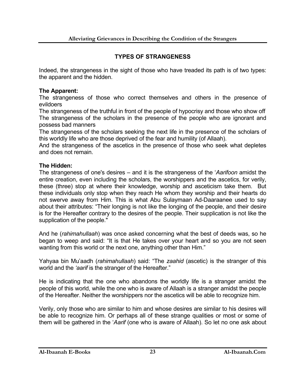#### **TYPES OF STRANGENESS**

Indeed, the strangeness in the sight of those who have treaded its path is of two types: the apparent and the hidden.

#### **The Apparent:**

The strangeness of those who correct themselves and others in the presence of evildoers

The strangeness of the truthful in front of the people of hypocrisy and those who show off The strangeness of the scholars in the presence of the people who are ignorant and possess bad manners

The strangeness of the scholars seeking the next life in the presence of the scholars of this worldly life who are those deprived of the fear and humility (of Allaah).

And the strangeness of the ascetics in the presence of those who seek what depletes and does not remain.

#### **The Hidden:**

The strangeness of one's desires – and it is the strangeness of the '*Aarifoon* amidst the entire creation, even including the scholars, the worshippers and the ascetics, for verily, these (three) stop at where their knowledge, worship and asceticism take them. But these individuals only stop when they reach He whom they worship and their hearts do not swerve away from Him. This is what Abu Sulaymaan Ad-Daaraanee used to say about their attributes: "Their longing is not like the longing of the people, and their desire is for the Hereafter contrary to the desires of the people. Their supplication is not like the supplication of the people."

And he (*rahimahullaah*) was once asked concerning what the best of deeds was, so he began to weep and said: "It is that He takes over your heart and so you are not seen wanting from this world or the next one, anything other than Him."

Yahyaa bin Mu'aadh (*rahimahullaah*) said: "The *zaahid* (ascetic) is the stranger of this world and the *'aarif* is the stranger of the Hereafter."

He is indicating that the one who abandons the worldly life is a stranger amidst the people of this world, while the one who is aware of Allaah is a stranger amidst the people of the Hereafter. Neither the worshippers nor the ascetics will be able to recognize him.

Verily, only those who are similar to him and whose desires are similar to his desires will be able to recognize him. Or perhaps all of these strange qualities or most or some of them will be gathered in the '*Aarif* (one who is aware of Allaah). So let no one ask about